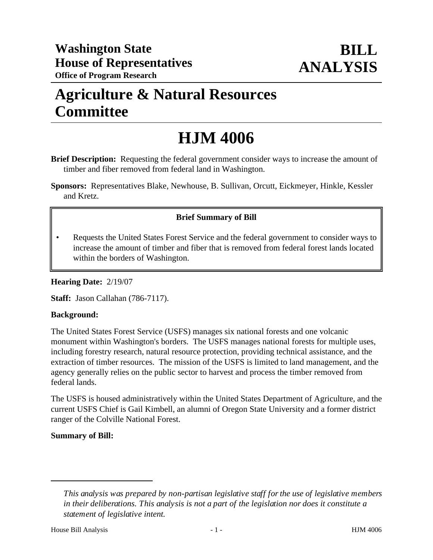# **Agriculture & Natural Resources Committee**

# **HJM 4006**

**Brief Description:** Requesting the federal government consider ways to increase the amount of timber and fiber removed from federal land in Washington.

**Sponsors:** Representatives Blake, Newhouse, B. Sullivan, Orcutt, Eickmeyer, Hinkle, Kessler and Kretz.

## **Brief Summary of Bill**

• Requests the United States Forest Service and the federal government to consider ways to increase the amount of timber and fiber that is removed from federal forest lands located within the borders of Washington.

**Hearing Date:** 2/19/07

**Staff:** Jason Callahan (786-7117).

### **Background:**

The United States Forest Service (USFS) manages six national forests and one volcanic monument within Washington's borders. The USFS manages national forests for multiple uses, including forestry research, natural resource protection, providing technical assistance, and the extraction of timber resources. The mission of the USFS is limited to land management, and the agency generally relies on the public sector to harvest and process the timber removed from federal lands.

The USFS is housed administratively within the United States Department of Agriculture, and the current USFS Chief is Gail Kimbell, an alumni of Oregon State University and a former district ranger of the Colville National Forest.

### **Summary of Bill:**

*This analysis was prepared by non-partisan legislative staff for the use of legislative members in their deliberations. This analysis is not a part of the legislation nor does it constitute a statement of legislative intent.*